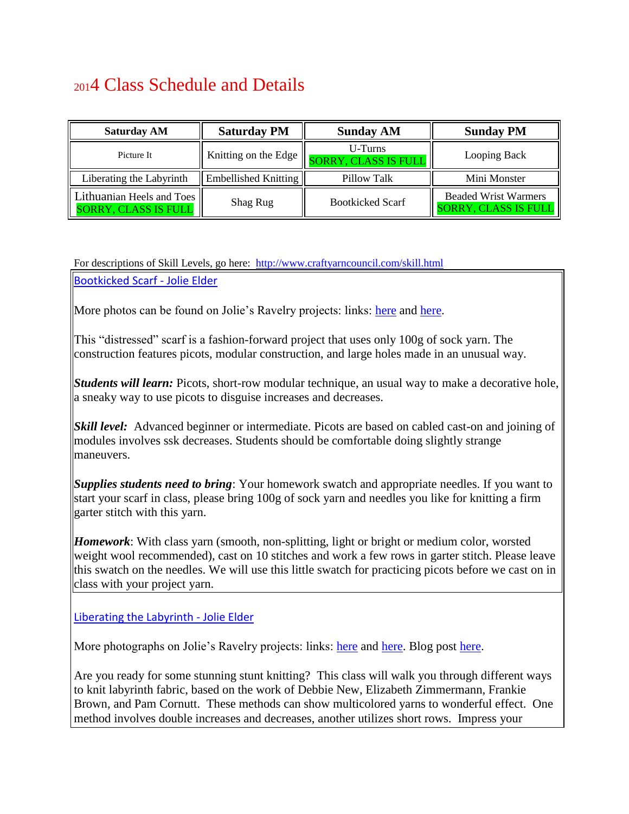# <sup>201</sup>4 Class Schedule and Details

| <b>Saturday AM</b>                                       | <b>Saturday PM</b>   | <b>Sunday AM</b>                | <b>Sunday PM</b>                                              |
|----------------------------------------------------------|----------------------|---------------------------------|---------------------------------------------------------------|
| Picture It                                               | Knitting on the Edge | U-Turns<br>SORRY, CLASS IS FULL | Looping Back                                                  |
| Liberating the Labyrinth                                 | Embellished Knitting | Pillow Talk                     | Mini Monster                                                  |
| Lithuanian Heels and Toes<br><b>SORRY, CLASS IS FULL</b> | Shag Rug             | <b>Bootkicked Scarf</b>         | <b>Beaded Wrist Warmers</b><br><b>SORRY, CLASS IS FULL   </b> |

### For descriptions of Skill Levels, go here: http://www.craftyarncouncil.com/skill.html

Bootkicked Scarf - Jolie Elder

More photos can be found on Jolie's Ravelry projects: links: [here](http://www.ravelry.com/projects/Jolie/bootkicked) and [here.](http://www.ravelry.com/projects/Jolie/bootkicked-2)

This "distressed" scarf is a fashion-forward project that uses only 100g of sock yarn. The construction features picots, modular construction, and large holes made in an unusual way.

*Students will learn:* Picots, short-row modular technique, an usual way to make a decorative hole, a sneaky way to use picots to disguise increases and decreases.

*Skill level:* Advanced beginner or intermediate. Picots are based on cabled cast-on and joining of modules involves ssk decreases. Students should be comfortable doing slightly strange maneuvers.

*Supplies students need to bring*: Your homework swatch and appropriate needles. If you want to start your scarf in class, please bring 100g of sock yarn and needles you like for knitting a firm garter stitch with this yarn.

*Homework*: With class yarn (smooth, non-splitting, light or bright or medium color, worsted weight wool recommended), cast on 10 stitches and work a few rows in garter stitch. Please leave this swatch on the needles. We will use this little swatch for practicing picots before we cast on in class with your project yarn.

Liberating the Labyrinth - Jolie Elder

More photographs on Jolie's Ravelry projects: links: [here](http://www.ravelry.com/projects/Jolie/twist--turn-cube) and [here.](http://jolieaelder.blogspot.com/2013/01/liking-labyrinth.html) Blog post here.

Are you ready for some stunning stunt knitting? This class will walk you through different ways to knit labyrinth fabric, based on the work of Debbie New, Elizabeth Zimmermann, Frankie Brown, and Pam Cornutt. These methods can show multicolored yarns to wonderful effect. One method involves double increases and decreases, another utilizes short rows. Impress your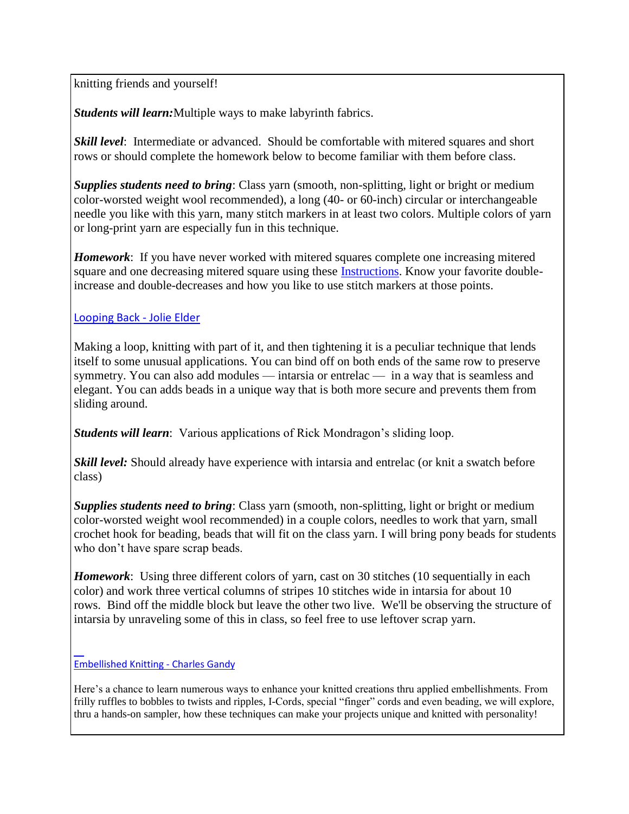knitting friends and yourself!

*Students will learn:*Multiple ways to make labyrinth fabrics.

*Skill level*: Intermediate or advanced. Should be comfortable with mitered squares and short rows or should complete the homework below to become familiar with them before class.

*Supplies students need to bring*: Class yarn (smooth, non-splitting, light or bright or medium color-worsted weight wool recommended), a long (40- or 60-inch) circular or interchangeable needle you like with this yarn, many stitch markers in at least two colors. Multiple colors of yarn or long-print yarn are especially fun in this technique.

*Homework*: If you have never worked with mitered squares complete one increasing mitered square and one decreasing mitered square using these [Instructions.](https://websitebuilder.1and1.com/xml/wfxdirect/res;jsessionid=900C8FB101353C8E1BEDD717AD56855E.TCpfixus71b?name=Liberating+the+Labyrinth+Homework.pdf&type=resource) Know your favorite doubleincrease and double-decreases and how you like to use stitch markers at those points.

### Looping Back - Jolie Elder

Making a loop, knitting with part of it, and then tightening it is a peculiar technique that lends itself to some unusual applications. You can bind off on both ends of the same row to preserve symmetry. You can also add modules — intarsia or entrelac — in a way that is seamless and elegant. You can adds beads in a unique way that is both more secure and prevents them from sliding around.

*Students will learn*: Various applications of Rick Mondragon's sliding loop.

*Skill level:* Should already have experience with intarsia and entrelac (or knit a swatch before class)

*Supplies students need to bring*: Class yarn (smooth, non-splitting, light or bright or medium color-worsted weight wool recommended) in a couple colors, needles to work that yarn, small crochet hook for beading, beads that will fit on the class yarn. I will bring pony beads for students who don't have spare scrap beads.

*Homework*: Using three different colors of yarn, cast on 30 stitches (10 sequentially in each color) and work three vertical columns of stripes 10 stitches wide in intarsia for about 10 rows. Bind off the middle block but leave the other two live. We'll be observing the structure of intarsia by unraveling some of this in class, so feel free to use leftover scrap yarn.

#### $\overline{a}$ Embellished Knitting - Charles Gandy

Here's a chance to learn numerous ways to enhance your knitted creations thru applied embellishments. From frilly ruffles to bobbles to twists and ripples, I-Cords, special "finger" cords and even beading, we will explore, thru a hands-on sampler, how these techniques can make your projects unique and knitted with personality!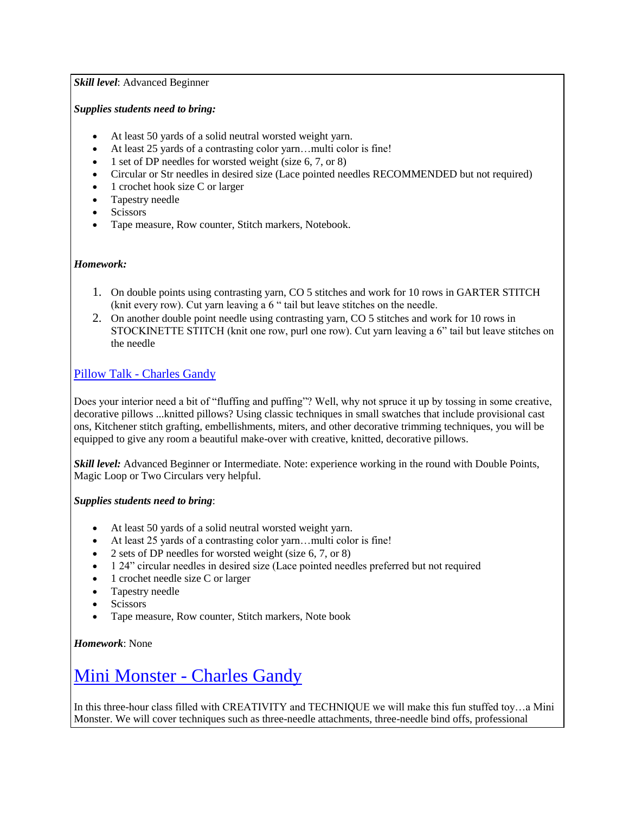### *Skill level*: Advanced Beginner

### *Supplies students need to bring:*

- At least 50 yards of a solid neutral worsted weight yarn.
- At least 25 yards of a contrasting color yarn...multi color is fine!
- 1 set of DP needles for worsted weight (size 6, 7, or 8)
- Circular or Str needles in desired size (Lace pointed needles RECOMMENDED but not required)
- 1 crochet hook size C or larger
- Tapestry needle
- Scissors
- Tape measure, Row counter, Stitch markers, Notebook.

### *Homework:*

- 1. On double points using contrasting yarn, CO 5 stitches and work for 10 rows in GARTER STITCH (knit every row). Cut yarn leaving a 6 " tail but leave stitches on the needle.
- 2. On another double point needle using contrasting yarn, CO 5 stitches and work for 10 rows in STOCKINETTE STITCH (knit one row, purl one row). Cut yarn leaving a 6" tail but leave stitches on the needle

### Pillow Talk - Charles Gandy

Does your interior need a bit of "fluffing and puffing"? Well, why not spruce it up by tossing in some creative, decorative pillows ...knitted pillows? Using classic techniques in small swatches that include provisional cast ons, Kitchener stitch grafting, embellishments, miters, and other decorative trimming techniques, you will be equipped to give any room a beautiful make-over with creative, knitted, decorative pillows.

*Skill level:* Advanced Beginner or Intermediate. Note: experience working in the round with Double Points, Magic Loop or Two Circulars very helpful.

### *Supplies students need to bring*:

- At least 50 yards of a solid neutral worsted weight yarn.
- At least 25 yards of a contrasting color yarn…multi color is fine!
- $\bullet$  2 sets of DP needles for worsted weight (size 6, 7, or 8)
- 1 24" circular needles in desired size (Lace pointed needles preferred but not required
- 1 crochet needle size C or larger
- Tapestry needle
- Scissors
- Tape measure, Row counter, Stitch markers, Note book

*Homework*: None

## Mini Monster - Charles Gandy

In this three-hour class filled with CREATIVITY and TECHNIQUE we will make this fun stuffed toy…a Mini Monster. We will cover techniques such as three-needle attachments, three-needle bind offs, professional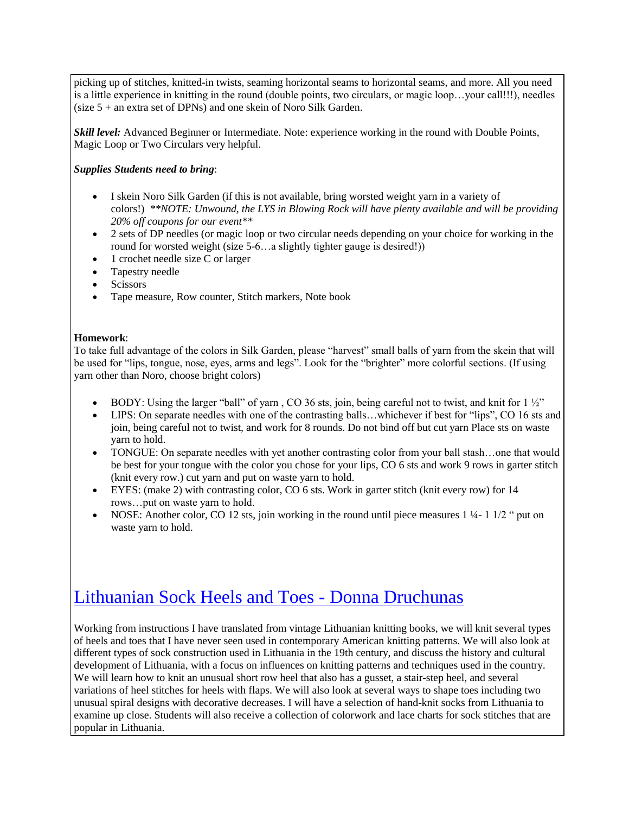picking up of stitches, knitted-in twists, seaming horizontal seams to horizontal seams, and more. All you need is a little experience in knitting in the round (double points, two circulars, or magic loop…your call!!!), needles (size 5 + an extra set of DPNs) and one skein of Noro Silk Garden.

*Skill level:* Advanced Beginner or Intermediate. Note: experience working in the round with Double Points, Magic Loop or Two Circulars very helpful.

#### *Supplies Students need to bring*:

- I skein Noro Silk Garden (if this is not available, bring worsted weight yarn in a variety of colors!) *\*\*NOTE: Unwound, the LYS in Blowing Rock will have plenty available and will be providing 20% off coupons for our event\*\**
- 2 sets of DP needles (or magic loop or two circular needs depending on your choice for working in the round for worsted weight (size 5-6...a slightly tighter gauge is desired!))
- 1 crochet needle size C or larger
- Tapestry needle
- **Scissors**
- Tape measure, Row counter, Stitch markers, Note book

#### **Homework**:

To take full advantage of the colors in Silk Garden, please "harvest" small balls of yarn from the skein that will be used for "lips, tongue, nose, eyes, arms and legs". Look for the "brighter" more colorful sections. (If using yarn other than Noro, choose bright colors)

- BODY: Using the larger "ball" of yarn, CO 36 sts, join, being careful not to twist, and knit for  $1\frac{1}{2}$ "
- LIPS: On separate needles with one of the contrasting balls…whichever if best for "lips", CO 16 sts and join, being careful not to twist, and work for 8 rounds. Do not bind off but cut yarn Place sts on waste yarn to hold.
- TONGUE: On separate needles with yet another contrasting color from your ball stash…one that would be best for your tongue with the color you chose for your lips, CO 6 sts and work 9 rows in garter stitch (knit every row.) cut yarn and put on waste yarn to hold.
- EYES: (make 2) with contrasting color, CO 6 sts. Work in garter stitch (knit every row) for 14 rows…put on waste yarn to hold.
- NOSE: Another color, CO 12 sts, join working in the round until piece measures 1  $\frac{1}{4}$  1  $\frac{1}{2}$  " put on waste yarn to hold.

## Lithuanian Sock Heels and Toes - Donna Druchunas

Working from instructions I have translated from vintage Lithuanian knitting books, we will knit several types of heels and toes that I have never seen used in contemporary American knitting patterns. We will also look at different types of sock construction used in Lithuania in the 19th century, and discuss the history and cultural development of Lithuania, with a focus on influences on knitting patterns and techniques used in the country. We will learn how to knit an unusual short row heel that also has a gusset, a stair-step heel, and several variations of heel stitches for heels with flaps. We will also look at several ways to shape toes including two unusual spiral designs with decorative decreases. I will have a selection of hand-knit socks from Lithuania to examine up close. Students will also receive a collection of colorwork and lace charts for sock stitches that are popular in Lithuania.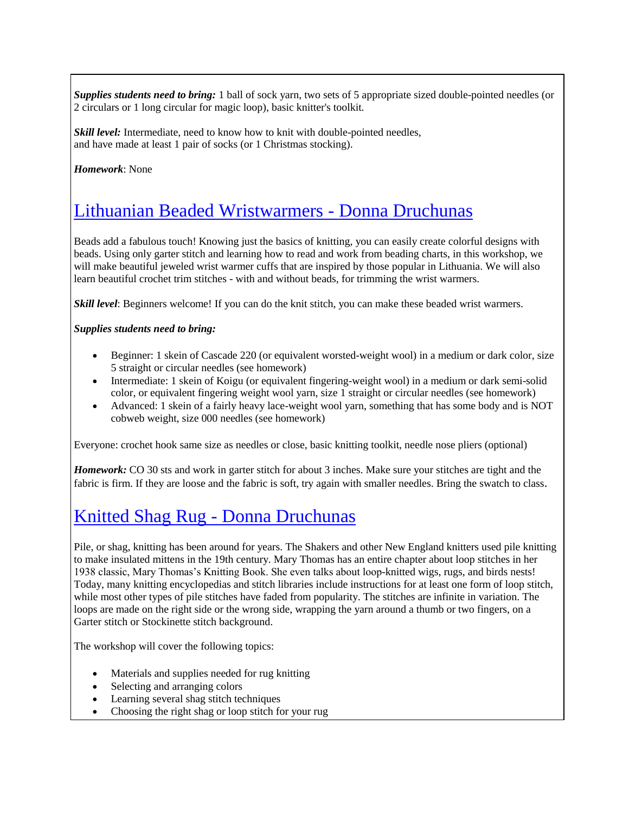*Supplies students need to bring:* 1 ball of sock yarn, two sets of 5 appropriate sized double-pointed needles (or 2 circulars or 1 long circular for magic loop), basic knitter's toolkit.

*Skill level:* Intermediate, need to know how to knit with double-pointed needles, and have made at least 1 pair of socks (or 1 Christmas stocking).

*Homework*: None

### Lithuanian Beaded Wristwarmers - Donna Druchunas

Beads add a fabulous touch! Knowing just the basics of knitting, you can easily create colorful designs with beads. Using only garter stitch and learning how to read and work from beading charts, in this workshop, we will make beautiful jeweled wrist warmer cuffs that are inspired by those popular in Lithuania. We will also learn beautiful crochet trim stitches - with and without beads, for trimming the wrist warmers.

*Skill level*: Beginners welcome! If you can do the knit stitch, you can make these beaded wrist warmers.

#### *Supplies students need to bring:*

- Beginner: 1 skein of Cascade 220 (or equivalent worsted-weight wool) in a medium or dark color, size 5 straight or circular needles (see homework)
- Intermediate: 1 skein of Koigu (or equivalent fingering-weight wool) in a medium or dark semi-solid color, or equivalent fingering weight wool yarn, size 1 straight or circular needles (see homework)
- Advanced: 1 skein of a fairly heavy lace-weight wool yarn, something that has some body and is NOT cobweb weight, size 000 needles (see homework)

Everyone: crochet hook same size as needles or close, basic knitting toolkit, needle nose pliers (optional)

*Homework:* CO 30 sts and work in garter stitch for about 3 inches. Make sure your stitches are tight and the fabric is firm. If they are loose and the fabric is soft, try again with smaller needles. Bring the swatch to class.

## Knitted Shag Rug - Donna Druchunas

Pile, or shag, knitting has been around for years. The Shakers and other New England knitters used pile knitting to make insulated mittens in the 19th century. Mary Thomas has an entire chapter about loop stitches in her 1938 classic, Mary Thomas's Knitting Book. She even talks about loop-knitted wigs, rugs, and birds nests! Today, many knitting encyclopedias and stitch libraries include instructions for at least one form of loop stitch, while most other types of pile stitches have faded from popularity. The stitches are infinite in variation. The loops are made on the right side or the wrong side, wrapping the yarn around a thumb or two fingers, on a Garter stitch or Stockinette stitch background.

The workshop will cover the following topics:

- Materials and supplies needed for rug knitting
- Selecting and arranging colors
- Learning several shag stitch techniques
- Choosing the right shag or loop stitch for your rug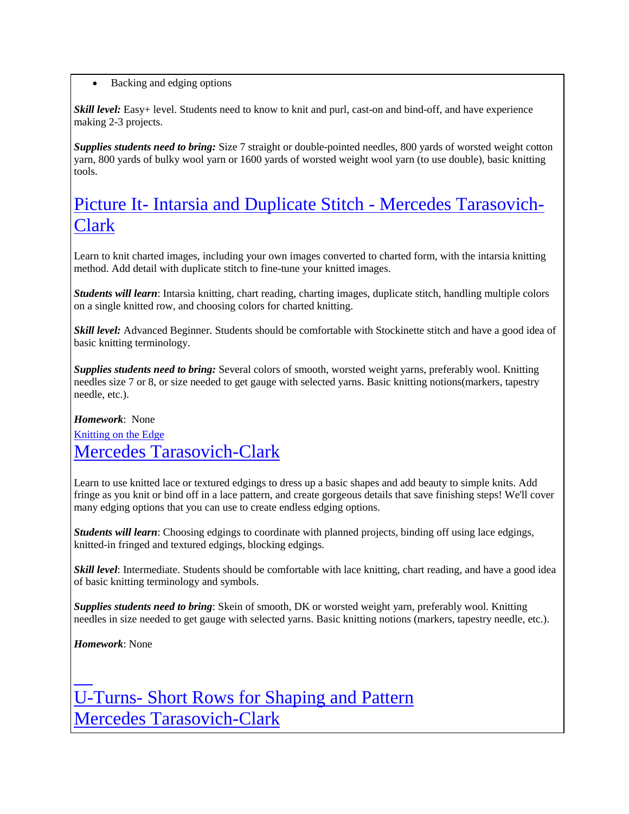• Backing and edging options

*Skill level:* Easy+ level. Students need to know to knit and purl, cast-on and bind-off, and have experience making 2-3 projects.

*Supplies students need to bring:* Size 7 straight or double-pointed needles, 800 yards of worsted weight cotton yarn, 800 yards of bulky wool yarn or 1600 yards of worsted weight wool yarn (to use double), basic knitting tools.

# Picture It- Intarsia and Duplicate Stitch - Mercedes Tarasovich-Clark

Learn to knit charted images, including your own images converted to charted form, with the intarsia knitting method. Add detail with duplicate stitch to fine-tune your knitted images.

*Students will learn*: Intarsia knitting, chart reading, charting images, duplicate stitch, handling multiple colors on a single knitted row, and choosing colors for charted knitting.

*Skill level:* Advanced Beginner. Students should be comfortable with Stockinette stitch and have a good idea of basic knitting terminology.

*Supplies students need to bring:* Several colors of smooth, worsted weight yarns, preferably wool. Knitting needles size 7 or 8, or size needed to get gauge with selected yarns. Basic knitting notions(markers, tapestry needle, etc.).

*Homework*: None Knitting on the Edge Mercedes Tarasovich-Clark

Learn to use knitted lace or textured edgings to dress up a basic shapes and add beauty to simple knits. Add fringe as you knit or bind off in a lace pattern, and create gorgeous details that save finishing steps! We'll cover many edging options that you can use to create endless edging options.

*Students will learn*: Choosing edgings to coordinate with planned projects, binding off using lace edgings, knitted-in fringed and textured edgings, blocking edgings.

*Skill level*: Intermediate. Students should be comfortable with lace knitting, chart reading, and have a good idea of basic knitting terminology and symbols.

*Supplies students need to bring*: Skein of smooth, DK or worsted weight yarn, preferably wool. Knitting needles in size needed to get gauge with selected yarns. Basic knitting notions (markers, tapestry needle, etc.).

*Homework*: None

 $\overline{\phantom{0}}$ 

U-Turns- Short Rows for Shaping and Pattern Mercedes Tarasovich-Clark